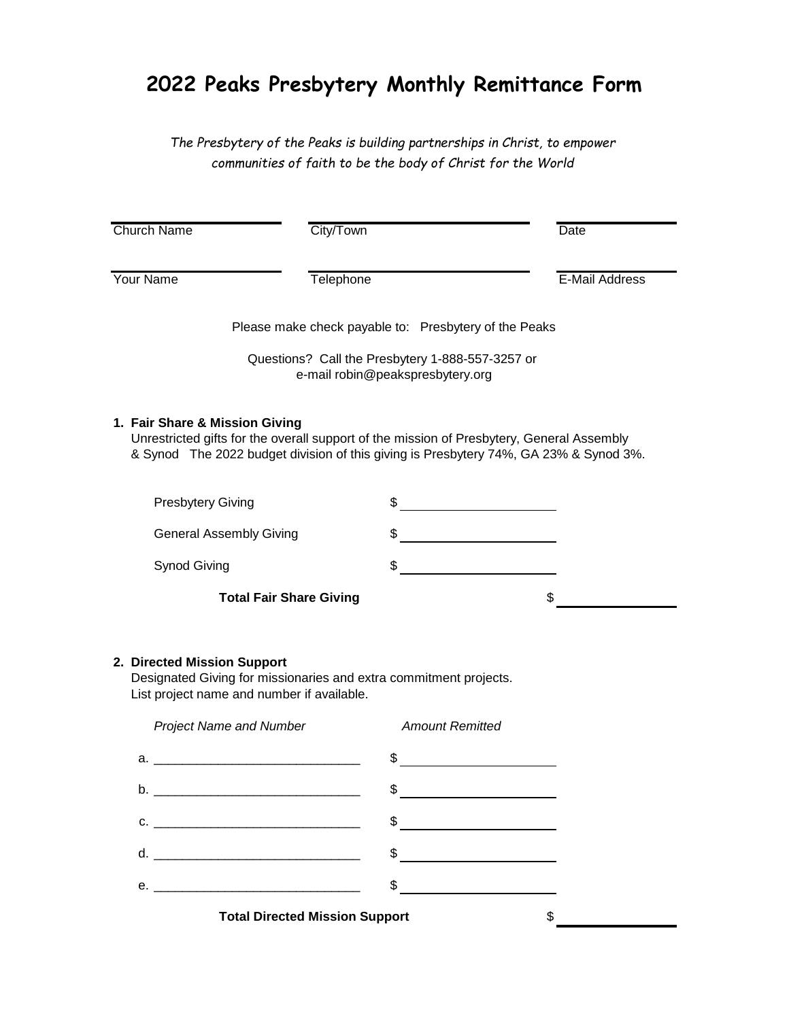## **2022 Peaks Presbytery Monthly Remittance Form**

*The Presbytery of the Peaks is building partnerships in Christ, to empower communities of faith to be the body of Christ for the World*

| <b>Church Name</b>                                                                                          | City/Town                                                                                                                                                                                                                                                                                                                                                                                                                | Date                  |
|-------------------------------------------------------------------------------------------------------------|--------------------------------------------------------------------------------------------------------------------------------------------------------------------------------------------------------------------------------------------------------------------------------------------------------------------------------------------------------------------------------------------------------------------------|-----------------------|
| <b>Your Name</b>                                                                                            | Telephone                                                                                                                                                                                                                                                                                                                                                                                                                | <b>E-Mail Address</b> |
|                                                                                                             | Please make check payable to: Presbytery of the Peaks                                                                                                                                                                                                                                                                                                                                                                    |                       |
|                                                                                                             | Questions? Call the Presbytery 1-888-557-3257 or<br>e-mail robin@peakspresbytery.org                                                                                                                                                                                                                                                                                                                                     |                       |
| 1. Fair Share & Mission Giving                                                                              | Unrestricted gifts for the overall support of the mission of Presbytery, General Assembly<br>& Synod The 2022 budget division of this giving is Presbytery 74%, GA 23% & Synod 3%.                                                                                                                                                                                                                                       |                       |
| <b>Presbytery Giving</b>                                                                                    | \$                                                                                                                                                                                                                                                                                                                                                                                                                       |                       |
| <b>General Assembly Giving</b>                                                                              |                                                                                                                                                                                                                                                                                                                                                                                                                          |                       |
| <b>Synod Giving</b>                                                                                         | \$                                                                                                                                                                                                                                                                                                                                                                                                                       |                       |
|                                                                                                             | <b>Total Fair Share Giving</b>                                                                                                                                                                                                                                                                                                                                                                                           | \$                    |
| 2. Directed Mission Support<br>List project name and number if available.<br><b>Project Name and Number</b> | Designated Giving for missionaries and extra commitment projects.<br><b>Amount Remitted</b>                                                                                                                                                                                                                                                                                                                              |                       |
| a.                                                                                                          |                                                                                                                                                                                                                                                                                                                                                                                                                          |                       |
| b.                                                                                                          | \$                                                                                                                                                                                                                                                                                                                                                                                                                       |                       |
| $C.$ $\qquad \qquad$                                                                                        | $\begin{array}{c c c c c} \hline \texttt{S} & \texttt{S} & \texttt{S} & \texttt{S} & \texttt{S} & \texttt{S} & \texttt{S} & \texttt{S} & \texttt{S} & \texttt{S} & \texttt{S} & \texttt{S} & \texttt{S} & \texttt{S} & \texttt{S} & \texttt{S} & \texttt{S} & \texttt{S} & \texttt{S} & \texttt{S} & \texttt{S} & \texttt{S} & \texttt{S} & \texttt{S} & \texttt{S} & \texttt{S} & \texttt{S} & \texttt{S} & \texttt{S}$ |                       |
|                                                                                                             | $\frac{1}{2}$                                                                                                                                                                                                                                                                                                                                                                                                            |                       |
|                                                                                                             | $\frac{1}{2}$                                                                                                                                                                                                                                                                                                                                                                                                            |                       |
|                                                                                                             | <b>Total Directed Mission Support</b>                                                                                                                                                                                                                                                                                                                                                                                    | \$                    |